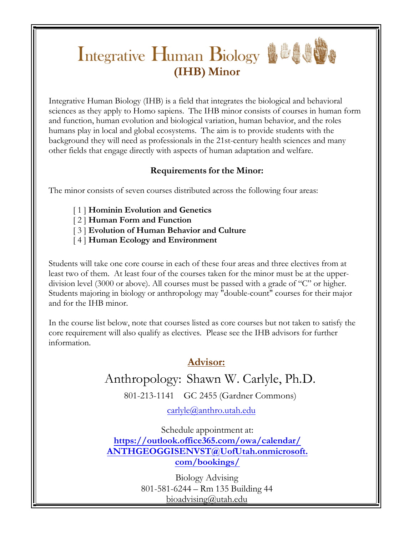# **(IHB)** Minor

Integrative Human Biology (IHB) is a field that integrates the biological and behavioral sciences as they apply to Homo sapiens. The IHB minor consists of courses in human form and function, human evolution and biological variation, human behavior, and the roles humans play in local and global ecosystems. The aim is to provide students with the background they will need as professionals in the 21st-century health sciences and many other fields that engage directly with aspects of human adaptation and welfare.

### **Requirements for the Minor:**

The minor consists of seven courses distributed across the following four areas:

- [ 1 ] **Hominin Evolution and Genetics**
- [ 2 ] **Human Form and Function**
- [ 3 ] **Evolution of Human Behavior and Culture**
- [ 4 ] **Human Ecology and Environment**

Students will take one core course in each of these four areas and three electives from at least two of them. At least four of the courses taken for the minor must be at the upperdivision level (3000 or above). All courses must be passed with a grade of "C" or higher. Students majoring in biology or anthropology may "double-count" courses for their major and for the IHB minor.

In the course list below, note that courses listed as core courses but not taken to satisfy the core requirement will also qualify as electives. Please see the IHB advisors for further information.

## **Advisor:**

## Anthropology: Shawn W. Carlyle, Ph.D.

801-213-1141 GC 2455 (Gardner Commons)

carlyle@anthro.utah.edu

[Schedule appointment at:](mailto:%20carlyle@anthro.utah.edu)  **https://outlook.office365.com/owa/calendar/ [ANTHGEOGGISENVST@UofUtah.onmicrosoft.](https://utah.craniumcafe.com/shawnwcarlyle2112) com/bookings/**

> Biology Advising 801-581-6244 – Rm 135 Building 44 bi[oadvising@utah.edu](mailto:advising@utah.edu)